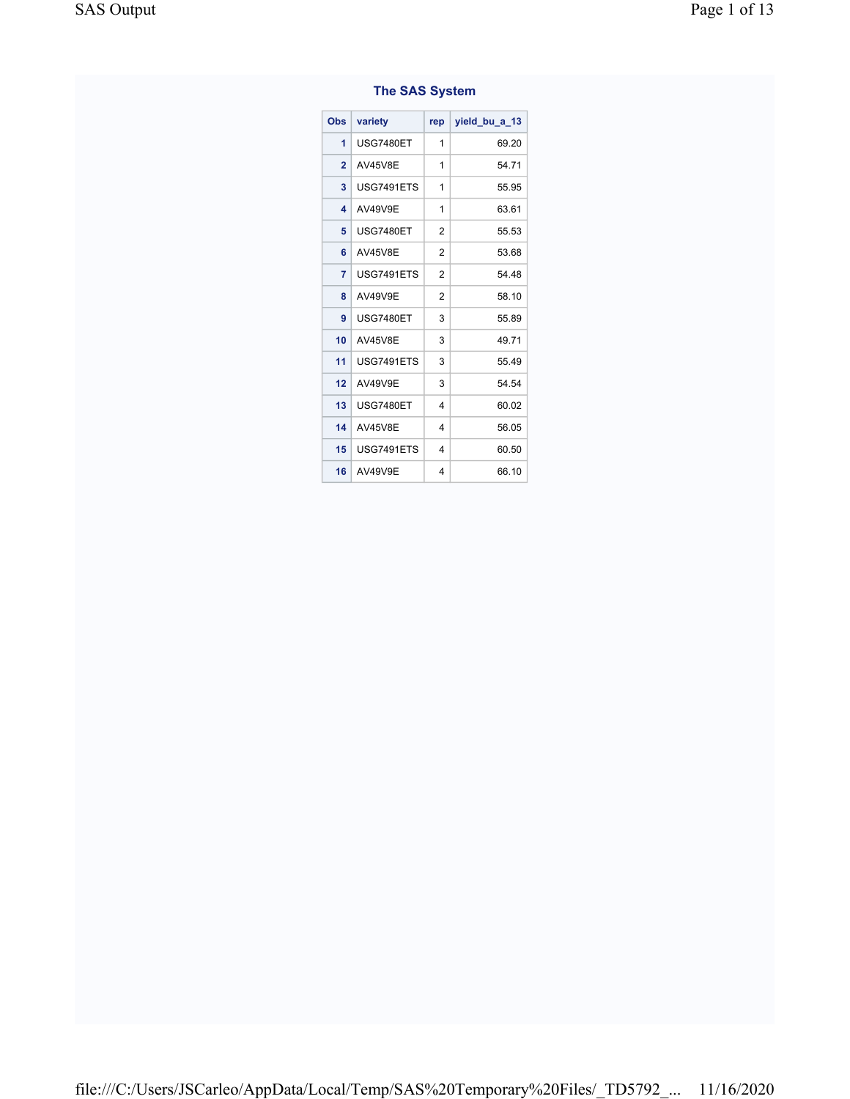| The SAS System          |                  |                |               |  |  |  |
|-------------------------|------------------|----------------|---------------|--|--|--|
| Obs                     | variety          | rep            | yield bu a 13 |  |  |  |
| 1                       | <b>USG7480ET</b> | 1              | 69.20         |  |  |  |
| $\overline{2}$          | <b>AV45V8E</b>   | 1              | 54.71         |  |  |  |
| 3                       | USG7491ETS       | 1              | 55.95         |  |  |  |
| $\overline{\mathbf{A}}$ | AV49V9E          | 1              | 63.61         |  |  |  |
| 5                       | <b>USG7480ET</b> | 2              | 55.53         |  |  |  |
| 6                       | <b>AV45V8E</b>   | $\overline{2}$ | 53.68         |  |  |  |
| $\overline{7}$          | USG7491ETS       | $\overline{2}$ | 54.48         |  |  |  |
| 8                       | AV49V9E          | 2              | 58.10         |  |  |  |
| 9                       | <b>USG7480ET</b> | 3              | 55.89         |  |  |  |
| 10                      | <b>AV45V8E</b>   | 3              | 49.71         |  |  |  |
| 11                      | USG7491ETS       | 3              | 55.49         |  |  |  |
| 12                      | AV49V9E          | 3              | 54.54         |  |  |  |
| 13                      | <b>USG7480ET</b> | 4              | 60.02         |  |  |  |
| 14                      | <b>AV45V8E</b>   | 4              | 56.05         |  |  |  |
| 15                      | USG7491ETS       | 4              | 60.50         |  |  |  |
| 16                      | AV49V9E          | 4              | 66.10         |  |  |  |

## The SAS System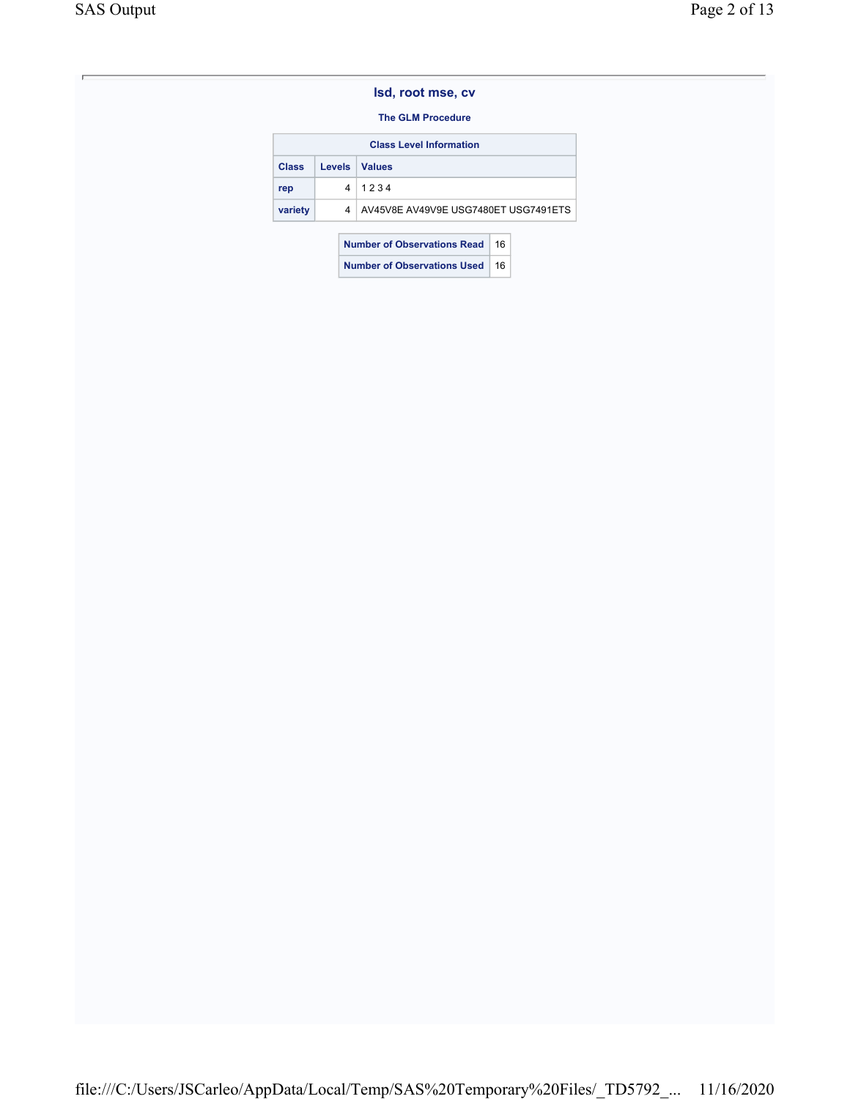### The GLM Procedure

| <b>Class Level Information</b>           |               |                                      |    |  |  |  |
|------------------------------------------|---------------|--------------------------------------|----|--|--|--|
| <b>Class</b>                             | <b>Levels</b> | <b>Values</b>                        |    |  |  |  |
| rep                                      | 4             | 1234                                 |    |  |  |  |
| variety                                  | 4             | AV45V8E AV49V9E USG7480ET USG7491ETS |    |  |  |  |
| <b>Number of Observations Read</b><br>16 |               |                                      |    |  |  |  |
| <b>Number of Observations Used</b>       |               |                                      | 16 |  |  |  |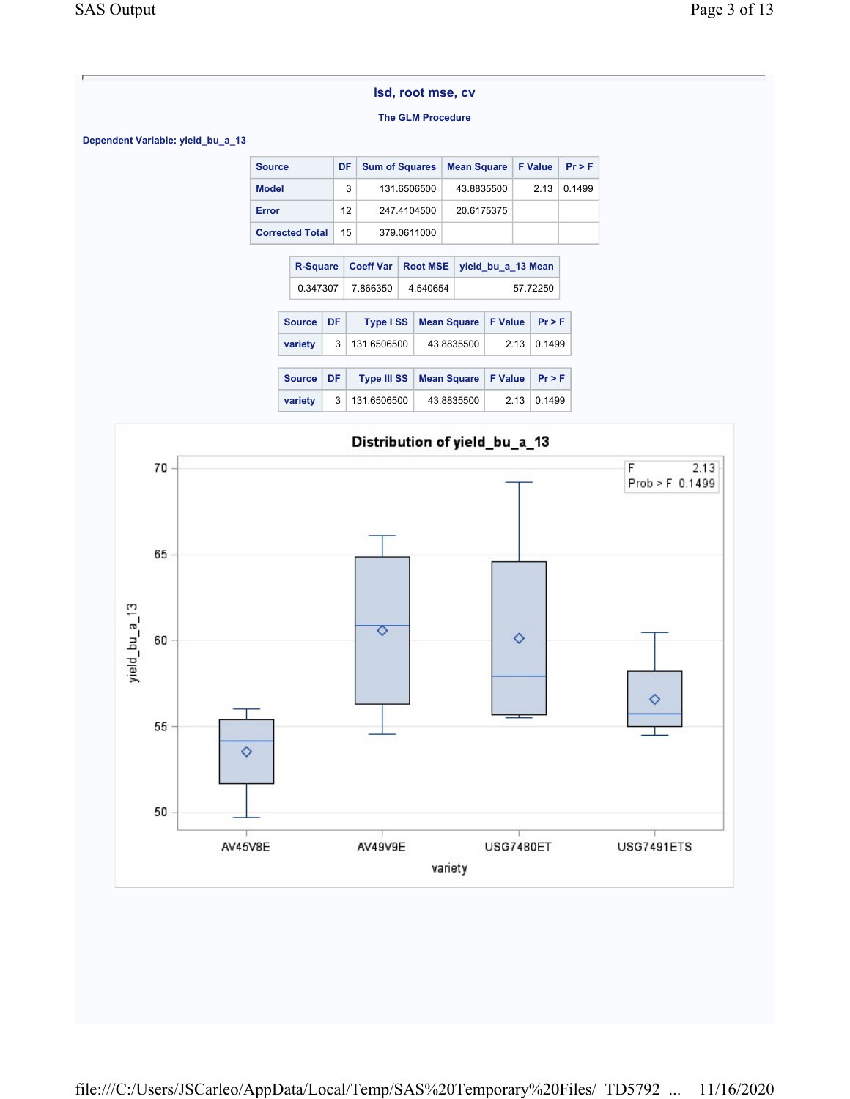#### The GLM Procedure

Dependent Variable: yield\_bu\_a\_13

| <b>Source</b>          | DF. | <b>Sum of Squares</b> | Mean Square   F Value |       | Pr > F |
|------------------------|-----|-----------------------|-----------------------|-------|--------|
| <b>Model</b>           | 3   | 131.6506500           | 43.8835500            | 2 1 3 | 01499  |
| Error                  | 12  | 247.4104500           | 20.6175375            |       |        |
| <b>Corrected Total</b> | 15  | 379.0611000           |                       |       |        |

|  | <b>R-Square</b>                                              |    | <b>Coeff Var</b>   |                | <b>Root MSE</b>    | yield bu a 13 Mean |                |        |
|--|--------------------------------------------------------------|----|--------------------|----------------|--------------------|--------------------|----------------|--------|
|  | 0.347307                                                     |    | 7.866350           | 4.540654       |                    | 57.72250           |                |        |
|  | <b>Source</b><br>DF<br><b>Type ISS</b><br><b>Mean Square</b> |    |                    | <b>F</b> Value | Pr > F             |                    |                |        |
|  | variety                                                      | 3  | 131.6506500        | 43.8835500     |                    |                    | 213            | 0.1499 |
|  |                                                              |    |                    |                |                    |                    |                |        |
|  | <b>Source</b>                                                | DF | <b>Type III SS</b> |                | <b>Mean Square</b> |                    | <b>F</b> Value | Pr > F |
|  | variety                                                      | 3  | 131.6506500        |                | 43.8835500         |                    | 2 13           | 0.1499 |

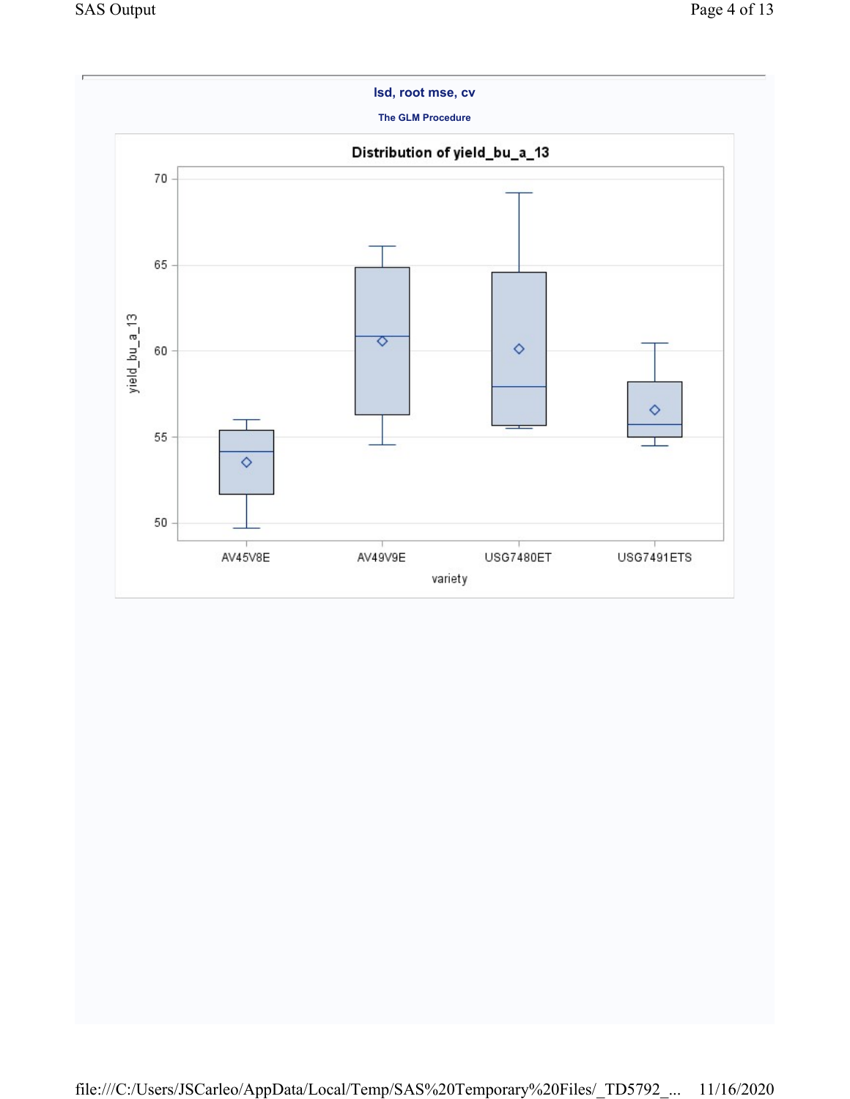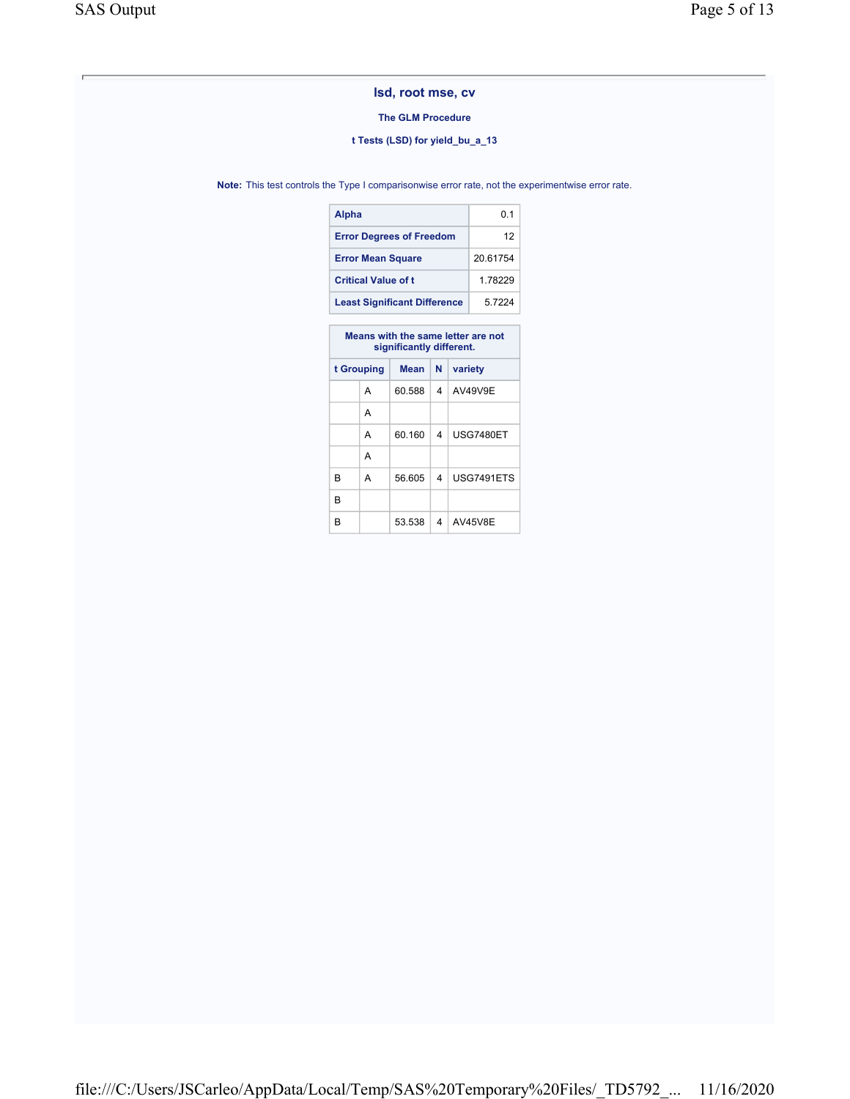### The GLM Procedure

### t Tests (LSD) for yield\_bu\_a\_13

Note: This test controls the Type I comparisonwise error rate, not the experimentwise error rate.

| Alpha                               | 01       |
|-------------------------------------|----------|
| <b>Error Degrees of Freedom</b>     | 12       |
| <b>Error Mean Square</b>            | 20 61754 |
| <b>Critical Value of t</b>          | 1.78229  |
| <b>Least Significant Difference</b> | 57224    |

|            |   | Means with the same letter are not<br>significantly different. |        |         |            |  |  |  |  |
|------------|---|----------------------------------------------------------------|--------|---------|------------|--|--|--|--|
| t Grouping |   | Mean                                                           | N      | variety |            |  |  |  |  |
|            |   | А                                                              | 60.588 | 4       | AV49V9E    |  |  |  |  |
|            |   | А                                                              |        |         |            |  |  |  |  |
|            |   | А                                                              | 60.160 | 4       | USG7480ET  |  |  |  |  |
|            |   | А                                                              |        |         |            |  |  |  |  |
|            | R | А                                                              | 56.605 | 4       | USG7491ETS |  |  |  |  |
|            | R |                                                                |        |         |            |  |  |  |  |
|            | R |                                                                | 53.538 | 4       | AV45V8E    |  |  |  |  |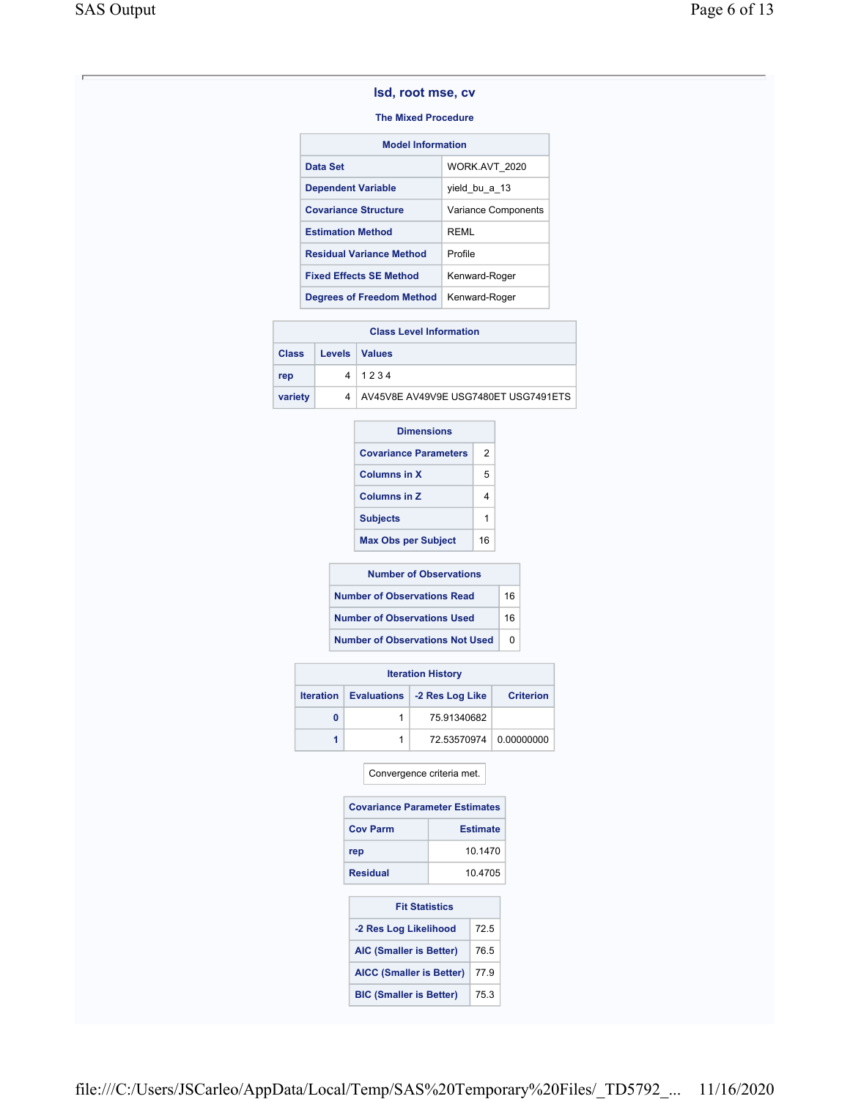### The Mixed Procedure

| <b>Model Information</b>        |                     |  |  |  |
|---------------------------------|---------------------|--|--|--|
| Data Set                        | WORK.AVT 2020       |  |  |  |
| <b>Dependent Variable</b>       | yield bu a 13       |  |  |  |
| <b>Covariance Structure</b>     | Variance Components |  |  |  |
| <b>Estimation Method</b>        | RFMI                |  |  |  |
| <b>Residual Variance Method</b> | Profile             |  |  |  |
| <b>Fixed Effects SE Method</b>  | Kenward-Roger       |  |  |  |
| Degrees of Freedom Method       | Kenward-Roger       |  |  |  |

| <b>Class Level Information</b> |                 |                                        |  |  |
|--------------------------------|-----------------|----------------------------------------|--|--|
| <b>Class</b>                   | Levels   Values |                                        |  |  |
| rep                            |                 | 41234                                  |  |  |
| variety                        |                 | 4 AV45V8E AV49V9E USG7480ET USG7491ETS |  |  |

| <b>Dimensions</b>            |    |  |  |
|------------------------------|----|--|--|
| <b>Covariance Parameters</b> | 2  |  |  |
| <b>Columns in X</b>          | 5  |  |  |
| <b>Columns in Z</b>          |    |  |  |
| <b>Subjects</b>              |    |  |  |
| <b>Max Obs per Subject</b>   | 16 |  |  |
|                              |    |  |  |

| <b>Number of Observations</b>          |    |  |  |
|----------------------------------------|----|--|--|
| <b>Number of Observations Read</b>     | 16 |  |  |
| <b>Number of Observations Used</b>     | 16 |  |  |
| <b>Number of Observations Not Used</b> |    |  |  |

| <b>Iteration History</b> |                  |  |                               |                  |  |  |
|--------------------------|------------------|--|-------------------------------|------------------|--|--|
|                          | <b>Iteration</b> |  | Evaluations   -2 Res Log Like | <b>Criterion</b> |  |  |
|                          | 0                |  | 75.91340682                   |                  |  |  |
|                          |                  |  | 72.53570974                   | 0.00000000       |  |  |

### Convergence criteria met.

| <b>Covariance Parameter Estimates</b> |                 |  |  |  |
|---------------------------------------|-----------------|--|--|--|
| <b>Cov Parm</b>                       | <b>Estimate</b> |  |  |  |
| rep                                   | 10 1470         |  |  |  |
| <b>Residual</b>                       | 10.4705         |  |  |  |

| <b>Fit Statistics</b>           |      |  |  |  |  |  |  |
|---------------------------------|------|--|--|--|--|--|--|
| -2 Res Log Likelihood           | 72.5 |  |  |  |  |  |  |
| <b>AIC (Smaller is Better)</b>  | 76.5 |  |  |  |  |  |  |
| <b>AICC (Smaller is Better)</b> | 77.9 |  |  |  |  |  |  |
| <b>BIC (Smaller is Better)</b>  | 75.3 |  |  |  |  |  |  |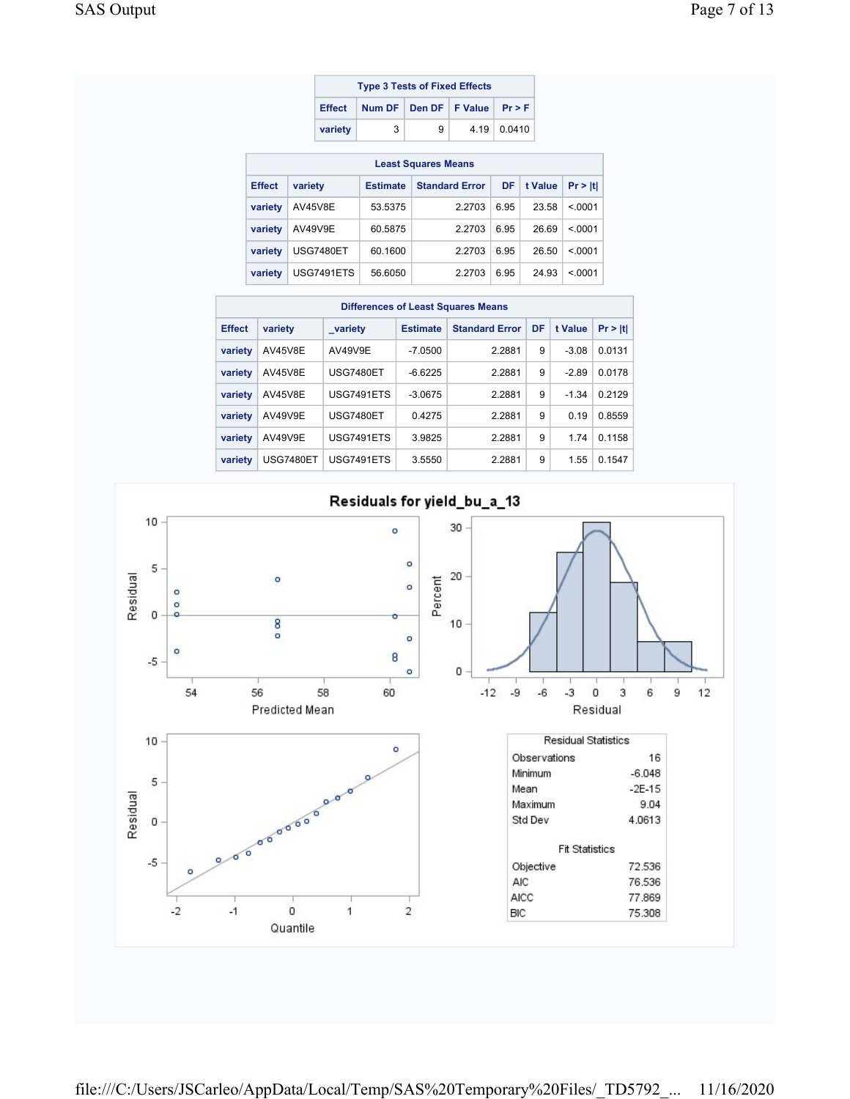| <b>Type 3 Tests of Fixed Effects</b> |                                      |   |  |                    |  |  |  |
|--------------------------------------|--------------------------------------|---|--|--------------------|--|--|--|
| Effect                               | Num DF   Den DF   F Value   $Pr > F$ |   |  |                    |  |  |  |
| variety                              | 3                                    | 9 |  | $4.19 \mid 0.0410$ |  |  |  |

| <b>Least Squares Means</b> |                  |                 |                       |      |         |         |  |  |  |  |
|----------------------------|------------------|-----------------|-----------------------|------|---------|---------|--|--|--|--|
| <b>Effect</b>              | variety          | <b>Estimate</b> | <b>Standard Error</b> | DF   | t Value | Pr >  t |  |  |  |  |
| variety                    | AV45V8E          | 53.5375         | 2.2703                | 6.95 | 23.58   | < 0001  |  |  |  |  |
| variety                    | AV49V9E          | 60.5875         | 2.2703                | 6.95 | 26.69   | < 0001  |  |  |  |  |
| variety                    | <b>USG7480ET</b> | 60.1600         | 2.2703                | 6.95 | 26.50   | < 0001  |  |  |  |  |
| variety                    | USG7491ETS       | 56.6050         | 2.2703                | 6.95 | 24.93   | < 0001  |  |  |  |  |

| <b>Differences of Least Squares Means</b> |                |                   |                 |                       |   |         |         |  |  |  |
|-------------------------------------------|----------------|-------------------|-----------------|-----------------------|---|---------|---------|--|--|--|
| <b>Effect</b>                             | variety        | variety           | <b>Estimate</b> | <b>Standard Error</b> |   |         | Pr >  t |  |  |  |
| variety                                   | <b>AV45V8E</b> | AV49V9E           | $-7.0500$       | 2.2881                | 9 | $-3.08$ | 0.0131  |  |  |  |
| variety                                   | <b>AV45V8E</b> | <b>USG7480ET</b>  | $-6.6225$       | 2.2881                | 9 | $-2.89$ | 0.0178  |  |  |  |
| variety                                   | AV45V8E        | <b>USG7491ETS</b> | $-3.0675$       | 2.2881                | 9 | $-1.34$ | 0.2129  |  |  |  |
| variety                                   | AV49V9E        | <b>USG7480ET</b>  | 0.4275          | 2.2881                | 9 | 0.19    | 0.8559  |  |  |  |
| variety                                   | AV49V9E        | <b>USG7491ETS</b> | 3.9825          | 2.2881                | 9 | 1.74    | 0.1158  |  |  |  |
| variety                                   | USG7480ET      | USG7491ETS        | 3.5550          | 2.2881                | 9 | 1.55    | 0.1547  |  |  |  |

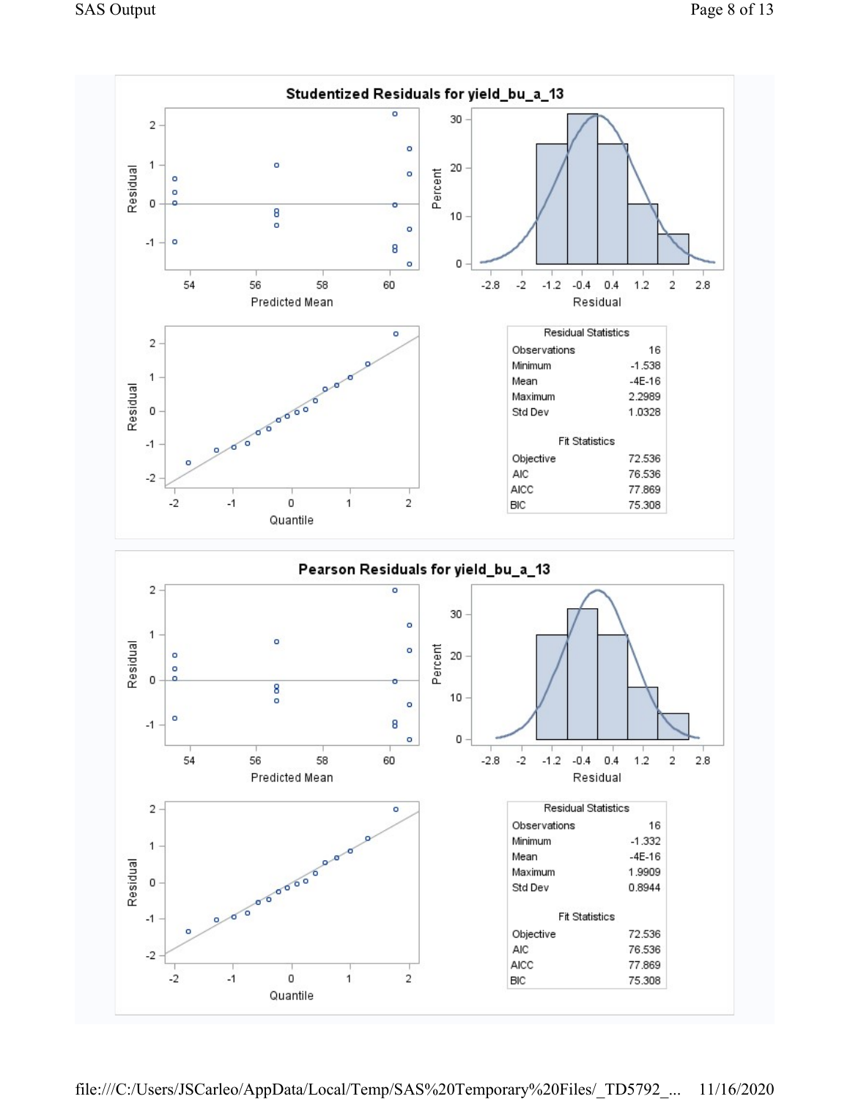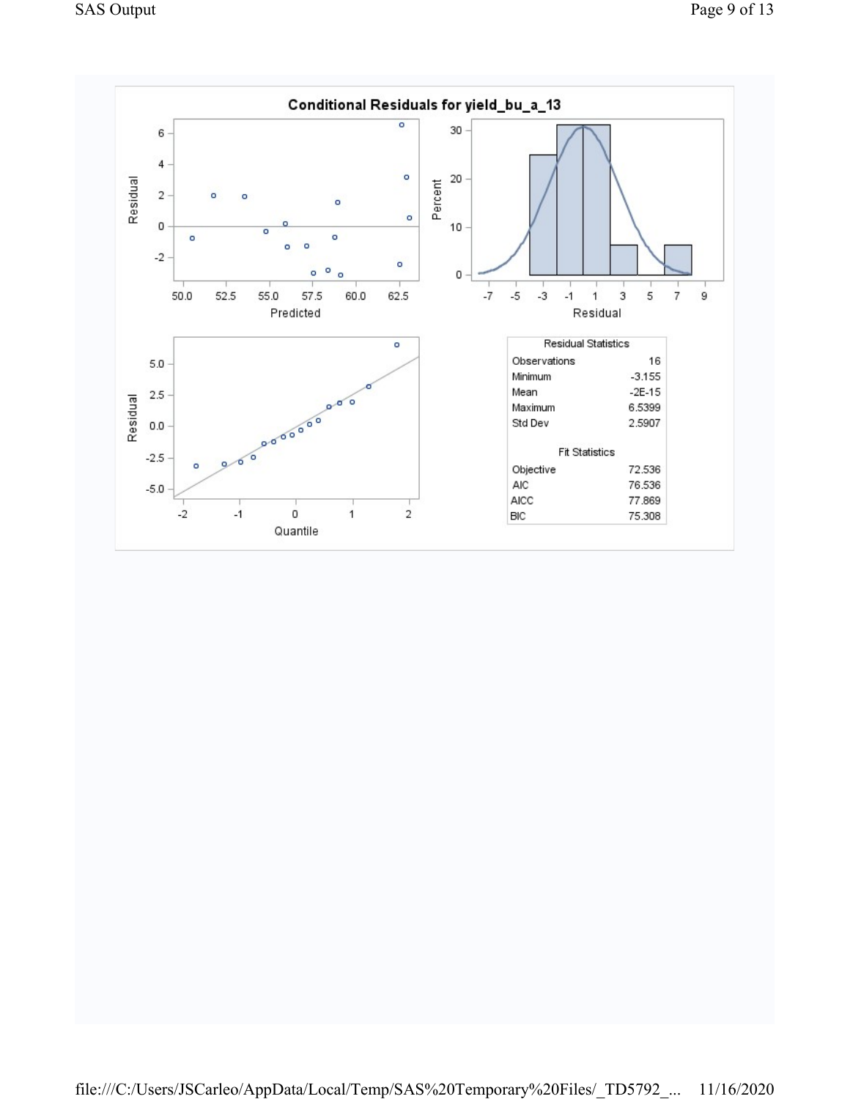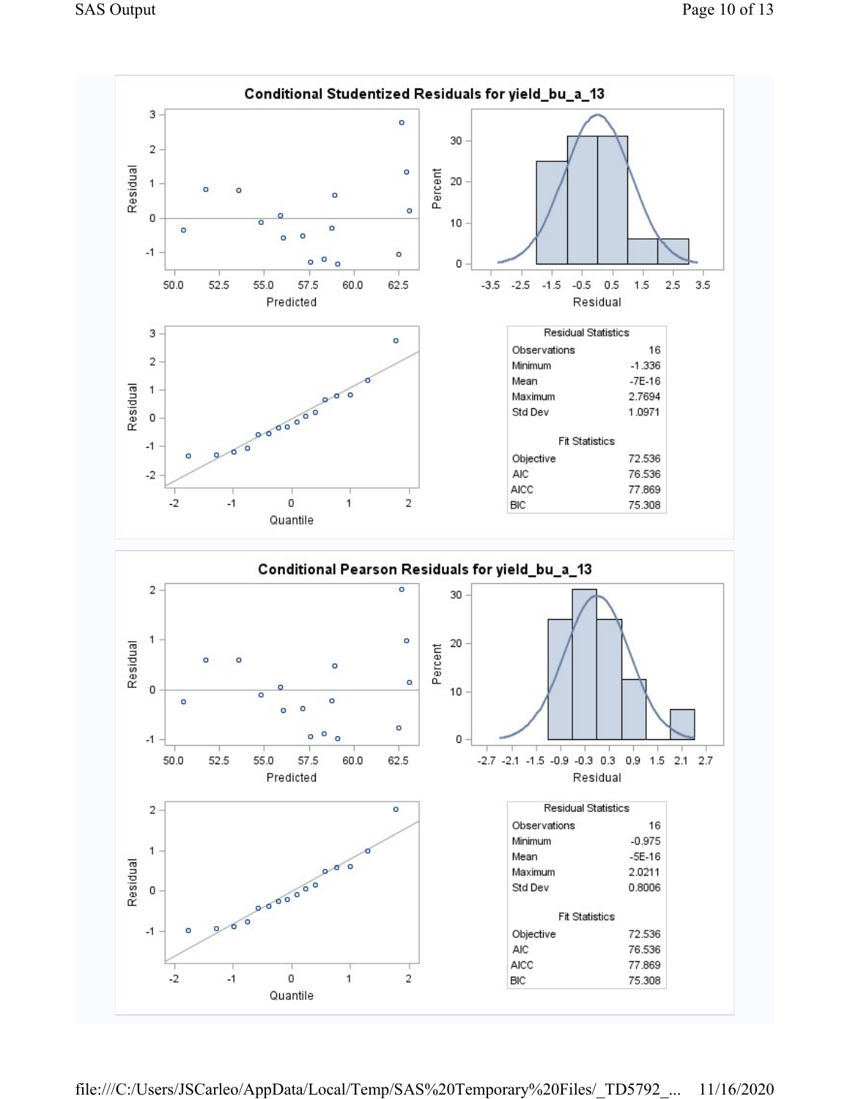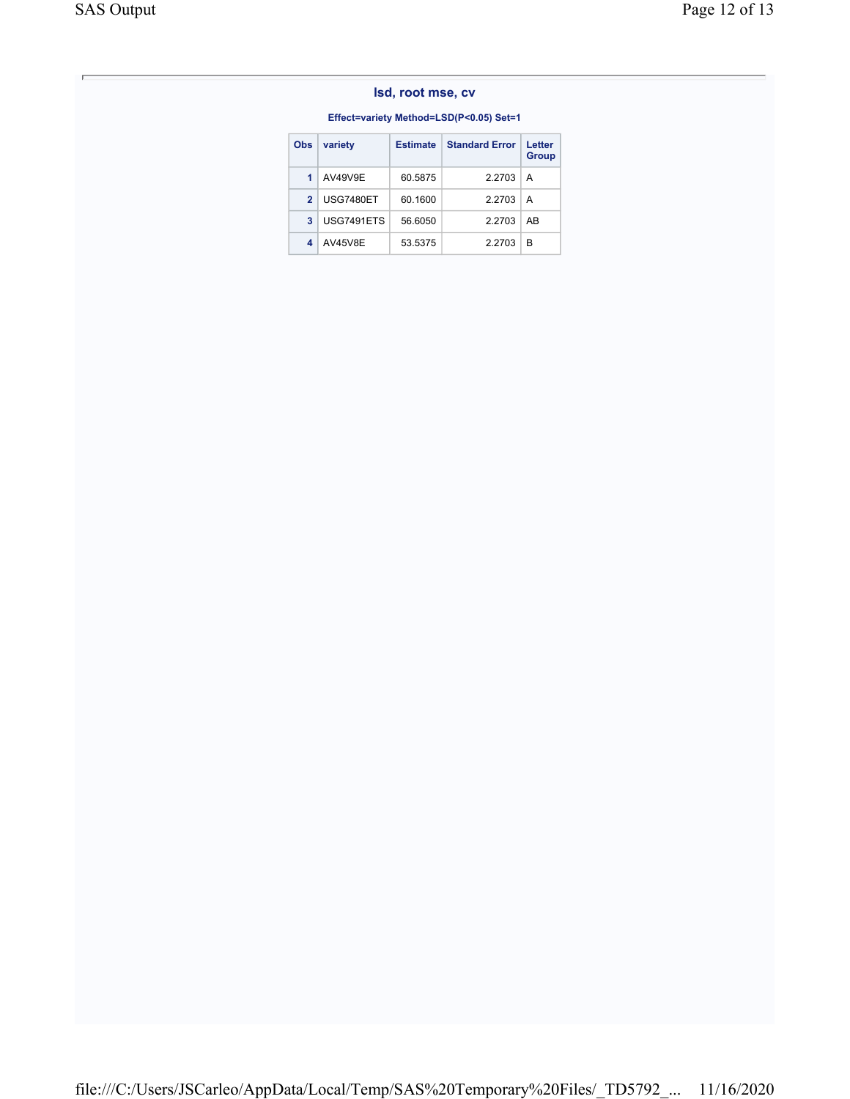### Effect=variety Method=LSD(P<0.05) Set=1

| <b>Obs</b>     | variety        | <b>Estimate</b> | <b>Standard Error</b> | Letter<br><b>Group</b> |
|----------------|----------------|-----------------|-----------------------|------------------------|
| $\blacksquare$ | AV49V9E        | 60.5875         | 2.2703                | A                      |
| $\mathcal{P}$  | USG7480ET      | 60.1600         | 2.2703                | A                      |
| 3              | USG7491ETS     | 56.6050         | 2.2703                | AB                     |
| 4              | <b>AV45V8E</b> | 53.5375         | 2.2703                | в                      |